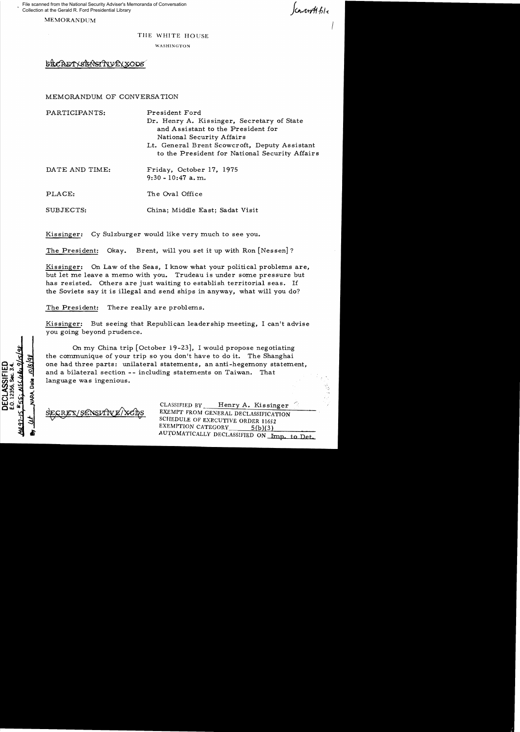File scanned from the National Security Adviser's Memoranda of Conversation Collection at the Gerald R. Ford Presidential Library

**MEMORANDUM** 

Conworthfile

## THE WHITE HOUSE

WASHINGTON

**STECRETYSTERSTTYVEX?** 

MEMORANDUM OF CONVERSATION

PARTICIPANTS: President Ford Dr. Henry A. Kissinger, Secretary of State and Assistant to the President for National Security Affairs Lt. General Brent Scowcroft, Deputy Assistant to the President for National Security Affairs

DATE AND TIME: Friday, October 17, 1975  $9:30 - 10:47$  a.m.

PLACE: The Oval Office

SUBJECTS: China; Middle East; Sadat Visit

Kissinger: Cy Sulzburger would like very much to see you.

The President: Okay. Brent, will you set it up with Ron [Nessen] ?

Kissinger: On Law of the Seas, I know what your political problems are, but let me leave a memo with you. Trudeau is under some pressure but has resisted. Others are just waiting to establish territorial seas. If the Soviets say it is illegal and send ships in anyway, what will you do?

The President: There really are problems.

Kissinger: But seeing that Republican leadership meeting, I can't advise you going beyond prudence.

On my China trip [October 19-23], I would propose negotiating the communique of your trip so you don't have to do it. The Shanghai one had three parts: unilateral statements, an anti-hegemony statement, and a bilateral section -- including statements on Taiwan. That language was ingenious.

ASSIFIEI  $0.12356,$  Sec. 3. NARA, Dal

ECRET/SENSIAN E

CLASSIFIED BY Henry A. Kissinger EXEMPT FROM GENERAL DECLASSIFICATION SCHEDULE OF EXECUTIVE ORDER 11652 EXEMPTION CATEGORY  $5(b)(3)$ AUTOMATICALLY DECLASSIFIED ON Imp. to Det.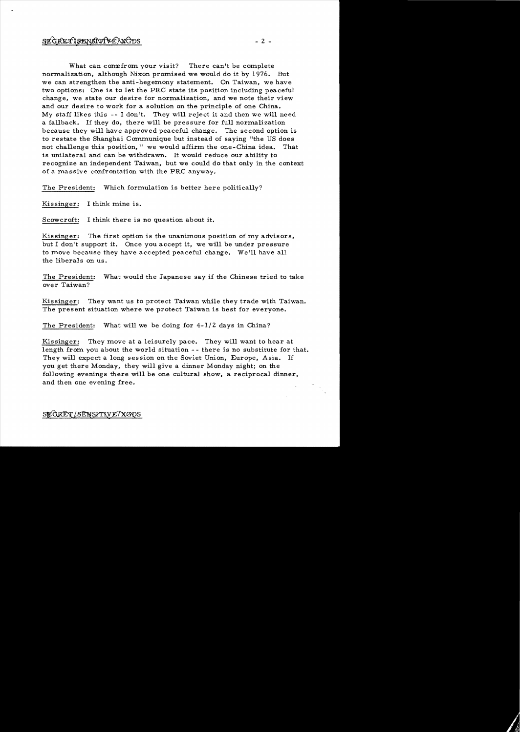What can come from your visit? There can't be complete normalization, although Nixon promised we would do it by 1976. But we can strengthen the anti-hegemony statement. On Taiwan, we have two options: One is to let the PRC state its position including peaceful change, we state our desire for normalization, and we note their view and our desire to work for a solution on the principle of one China. My staff likes this  $-$ - I don't. They will reject it and then we will need a fallback. If they do, there will be pressure for full normalization because they will have approved peaceful change. The second option is to restate the Shanghai Communique but instead of saying "the US does not challenge this position," we would affirm the one-China idea. That is unilateral and can be withdrawn. It would reduce our ability to recognize an independent Taiwan, but we could do that only in the context of a massive confrontation with the PRC anyway.

The President: Which formulation is better here politically?

Kissinger: I think mine is.

Scowcroft: I think there is no question about **it.** 

Kissinger: The first option is the unanimous position of my advisors, but I don't support it. Once you accept it, we will be under pressure to move because they have accepted peaceful change. Weill have all the liberals on us.

The President: What would the Japanese say if the Chinese tried to take over Taiwan?

Kissinger: They want us to protect Taiwan while they trade with Taiwan. The present situation where we protect Taiwan is best for everyone.

The President: What will we be doing for  $4-1/2$  days in China?

Kissinger: They move at a leisurely pace. They will want to hear at length from you about the world situation -- there is no substitute for that. They will expect a long session on the Soviet Union, Europe, Asia. If you get there Monday, they will give a dinner Monday night; on the following evenings there will be one cultural show, a reciprocal dinner, and then one evening free.

SECRET/SENSITIVE/XGDS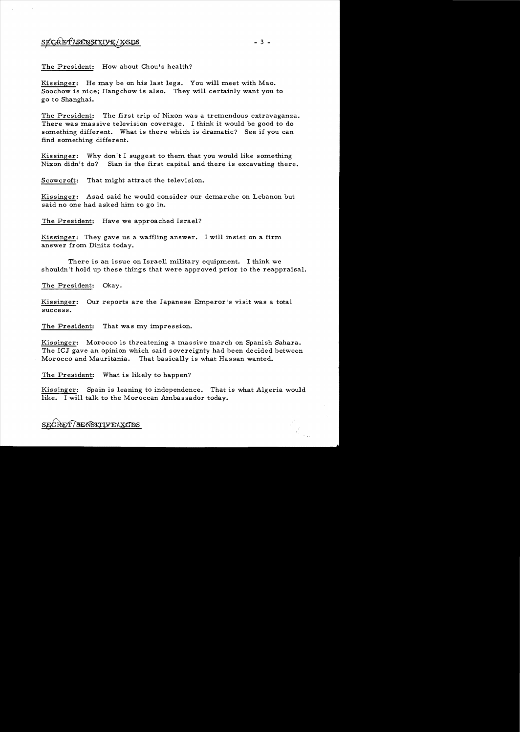## SECRETASENSITIVE/XGDS

The President: How about Chou's health?

Kissinger: He may be on his last legs. You will meet with Mao. Soochow is nice; Hangchow is also. They will certainly want you to go to Shanghai.

The President: The first trip of Nixon was a tremendous extravaganza. There was massive television coverage. I think it would be good to do something different. What is there which is dramatic? See if you can find something different.

Kissinger: Why don't I suggest to them that you would like something Nixon didn't do? Sian is the first capital and there is excavating there.

Scowcroft: That might attract the television.

Kissinger: Asad said he would consider our demarche on Lebanon but said no one had asked him to go in.

The President: Have we approached Israel?

Kissinger: They gave us a waffling answer. I will insist on a firm answer from Dinitz today.

There is an issue on Israeli military equipment. I think we shouldn't hold up these things that were approved prior to the reappraisal.

The President: Okay.

Kissinger: Our reports are the Japanese Emperor's visit was a total success.

The President: That was my impression.

Kissinger: Morocco is threatening a massive march on Spanish Sahara. The ICJ gave an opinion which said sovereignty had been decided between Morocco and Mauritania. That basically is what Hassan wanted.

The President: What is likely to happen?

Kissinger: Spain is leaning to independence. That is what Algeria would like. I will talk to the Moroccan Ambassador today.

SECRET/SENSITIVEXXGDS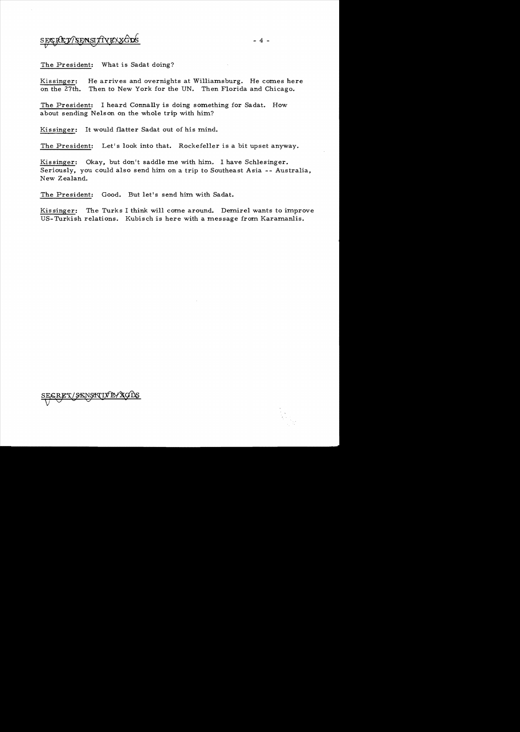## SECRED/SENSITIVEXXGDS

 $-4 -$ 

## The President: What is Sadat doing?

Kissinger: He arrives and overnights at Williamsburg. He comes here on the 27th. Then to New York for the UN. Then Florida and Chicago.

The President: I heard Connally is doing something for Sadat. How about sending Nelson on the whole trip with him?

Kissinger: It would flatter Sadat out of his mind.

The President: Let's look into that. Rockefeller is a bit upset anyway.

Kissinger: Okay, but don't saddle me with him. I have Schlesinger. Seriously, you could also send him on a trip to Southeast Asia -- Australia, New Zealand.

The President: Good. But let's send him with Sadat.

Kissinger: The Turks I think will come around. Demirel wants to improve US-Turkish relations. Kubisch is here with a message from Karamanlis.

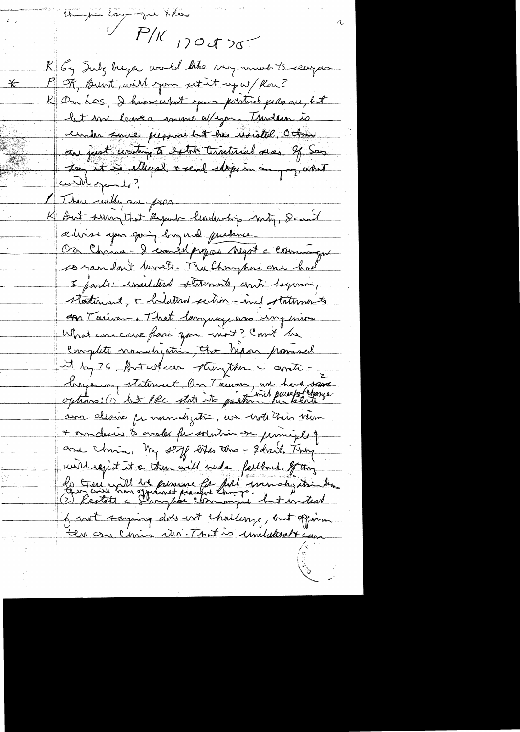Show yhin Cong & Pero  $P/K$ 170475 K log Sulz bryce would like my much to seryor M OR, Burt, will you get it up w/ Rou? K On Los, I hnow what your pointed pero are, but let me leurea muns a/agon. Tundem is under some personal to her usisted Other and just wanting to extra transmil also. If Son Long it is ellegal & send ships in an programs Coll post There really are pros. But seem that Report leadership mity, Dennet  $K_{\!\scriptscriptstyle\downarrow}$ alinse you going hay and prendence Or Chrisa-I crondelpropose Myst c Commongue corondont benet Trachnyponi can hod I parts: inautetient statements, anti-haginny statement, + halattro section - incl statements an Tariva -. That language was ing incre What can couse from you in 2? Court be Complete namalyation, the man promised it by 76 But where they then a arti -Krignan statement On Touven, ave have seine am cleane for warring the, and with this view + omderer & ander for solution on principle of are china, My stoff lifes this - Idret. Thing unil reject it a then will need fellows. If they le tren criti ve personne for full monatization des I not saying does nt challenge, but of in the one Chris run. That is undulated & can

 $\frac{\mathcal{X}}{k}$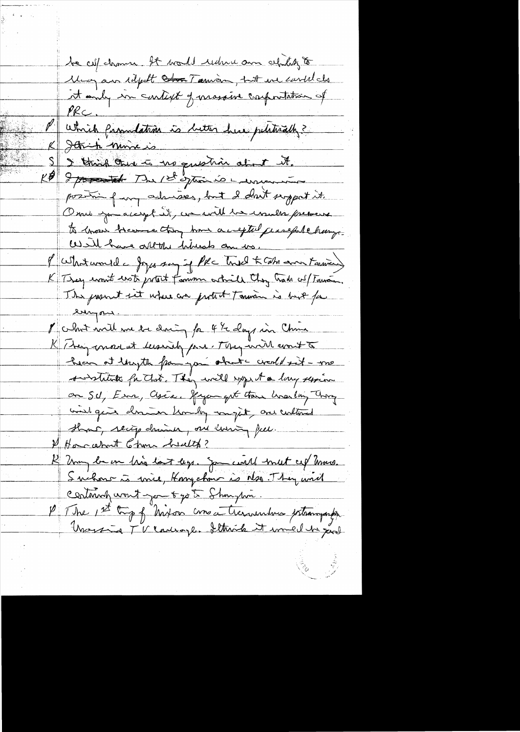be cell channer It would reduce an celitety to lleog au répet <del>chez Tamàn, tatt ine cartel des</del> it andy in context of massive crap intation of  $PRC$ P which formulation is better here petitisably? Strik Monte is I think there is no question about it.  $\mathscr{L}$ I possession The 1st often is a warranties position of my cubinates, but I don't support it. Onach you accept it, we will be comen presence to chose because they have a reptil persepule hange <u>OU Mbare art the bituats am us.</u> P What would a Joyes say if PRC lived & Com and Farming K Trey event with potent forman orbite they trade us/ Towar. The present sit where are protect Tomman is birt for eurgres. I colort with we be doing for 4 th days in China K / tag more at lessedy pre. They will wont to hear at length from you about credit set - me on SU, Esna, Cyca. Japan que tous liver lang Thing wind give domin homdog myst, one continue shows, recip during one lowing fill. P Hacahout Chon health? R Um be en his lat less. Jam civil met cep mons. Suchar à mie, Kangchour à Nov. They and certainly won't you to you to Show him. P The 1st trip of Mixon ans a tres minus pritismysale Mossina TV Earliage. Ittrick it mill be find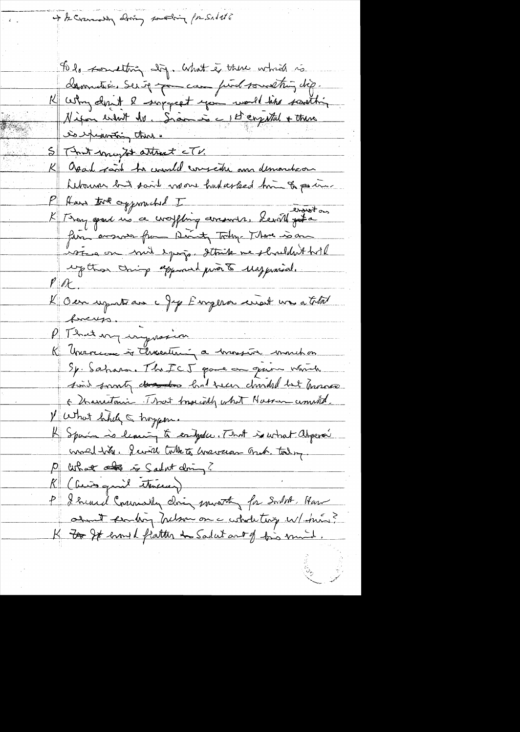of the Cremently always posting presentate To be something dig. What is there which is damentier serve pour comptant ministrique K why duit 8 support you would in southing Nifon event de Sian à Henjetal + there S That may it attent CTV. K Opal part to would consider an demondron Libourn but said woone husbard him & point P Haws took approached I fun answer from Dunty Today. There is an issen on with egosp. Strike me shouldn't hold egette chip appeared proto Majpraid.  $P$  or L'Our upation à Jep Emperer und un atetat P That my impression K Unercross of Chronitianing a traspart montron Sp. Sahara. The FCJ gave on gain which sind sounty dos for had been drinked but morrow 6 Thanistanic That towardly what Nassan comments. V What bakely & hoppen. K Spain is leming to escripter. That is what apperai world by. Junt to the conservation and today. China quil trécent P What one is Sadnt dring?  $K\Box$ P I heard Commandy closing must for Sort Man about sending helson on a whole ting w/ him ? K For It hand fatter to Sadut and of this mind.